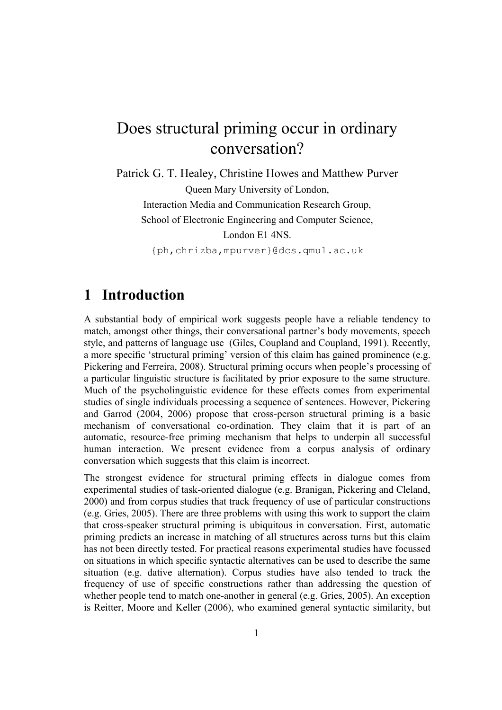# Does structural priming occur in ordinary conversation?

Patrick G. T. Healey, Christine Howes and Matthew Purver Queen Mary University of London, Interaction Media and Communication Research Group, School of Electronic Engineering and Computer Science, London E1 4NS. {ph,chrizba,mpurver}@dcs.qmul.ac.uk

### **1 Introduction**

A substantial body of empirical work suggests people have a reliable tendency to match, amongst other things, their conversational partner's body movements, speech style, and patterns of language use (Giles, Coupland and Coupland, 1991). Recently, a more specific 'structural priming' version of this claim has gained prominence (e.g. Pickering and Ferreira, 2008). Structural priming occurs when people's processing of a particular linguistic structure is facilitated by prior exposure to the same structure. Much of the psycholinguistic evidence for these effects comes from experimental studies of single individuals processing a sequence of sentences. However, Pickering and Garrod (2004, 2006) propose that cross-person structural priming is a basic mechanism of conversational co-ordination. They claim that it is part of an automatic, resource-free priming mechanism that helps to underpin all successful human interaction. We present evidence from a corpus analysis of ordinary conversation which suggests that this claim is incorrect.

The strongest evidence for structural priming effects in dialogue comes from experimental studies of task-oriented dialogue (e.g. Branigan, Pickering and Cleland, 2000) and from corpus studies that track frequency of use of particular constructions (e.g. Gries, 2005). There are three problems with using this work to support the claim that cross-speaker structural priming is ubiquitous in conversation. First, automatic priming predicts an increase in matching of all structures across turns but this claim has not been directly tested. For practical reasons experimental studies have focussed on situations in which specific syntactic alternatives can be used to describe the same situation (e.g. dative alternation). Corpus studies have also tended to track the frequency of use of specific constructions rather than addressing the question of whether people tend to match one-another in general (e.g. Gries, 2005). An exception is Reitter, Moore and Keller (2006), who examined general syntactic similarity, but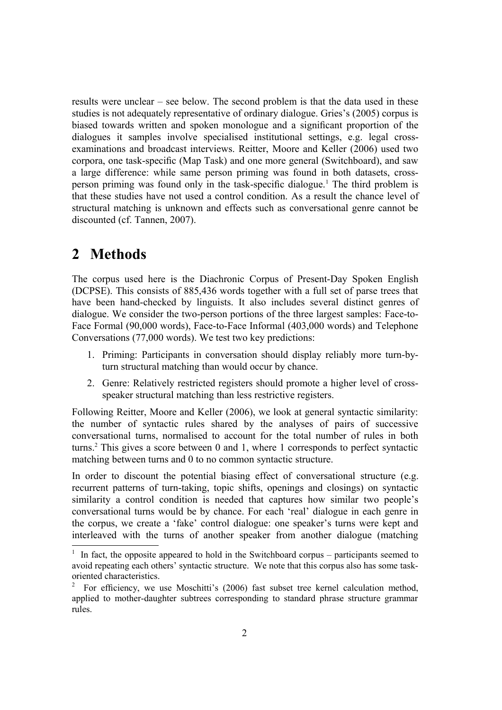results were unclear – see below. The second problem is that the data used in these studies is not adequately representative of ordinary dialogue. Gries's (2005) corpus is biased towards written and spoken monologue and a significant proportion of the dialogues it samples involve specialised institutional settings, e.g. legal crossexaminations and broadcast interviews. Reitter, Moore and Keller (2006) used two corpora, one task-specific (Map Task) and one more general (Switchboard), and saw a large difference: while same person priming was found in both datasets, cross-person priming was found only in the task-specific dialogue.<sup>[1](#page-1-0)</sup> The third problem is that these studies have not used a control condition. As a result the chance level of structural matching is unknown and effects such as conversational genre cannot be discounted (cf. Tannen, 2007).

# **2 Methods**

The corpus used here is the Diachronic Corpus of Present-Day Spoken English (DCPSE). This consists of 885,436 words together with a full set of parse trees that have been hand-checked by linguists. It also includes several distinct genres of dialogue. We consider the two-person portions of the three largest samples: Face-to-Face Formal (90,000 words), Face-to-Face Informal (403,000 words) and Telephone Conversations (77,000 words). We test two key predictions:

- 1. Priming: Participants in conversation should display reliably more turn-byturn structural matching than would occur by chance.
- 2. Genre: Relatively restricted registers should promote a higher level of crossspeaker structural matching than less restrictive registers.

Following Reitter, Moore and Keller (2006), we look at general syntactic similarity: the number of syntactic rules shared by the analyses of pairs of successive conversational turns, normalised to account for the total number of rules in both turns.[2](#page-1-1) This gives a score between 0 and 1, where 1 corresponds to perfect syntactic matching between turns and 0 to no common syntactic structure.

In order to discount the potential biasing effect of conversational structure (e.g. recurrent patterns of turn-taking, topic shifts, openings and closings) on syntactic similarity a control condition is needed that captures how similar two people's conversational turns would be by chance. For each 'real' dialogue in each genre in the corpus, we create a 'fake' control dialogue: one speaker's turns were kept and interleaved with the turns of another speaker from another dialogue (matching

<span id="page-1-0"></span> $1$  In fact, the opposite appeared to hold in the Switchboard corpus – participants seemed to avoid repeating each others' syntactic structure. We note that this corpus also has some taskoriented characteristics.

<span id="page-1-1"></span><sup>&</sup>lt;sup>2</sup> For efficiency, we use Moschitti's (2006) fast subset tree kernel calculation method, applied to mother-daughter subtrees corresponding to standard phrase structure grammar rules.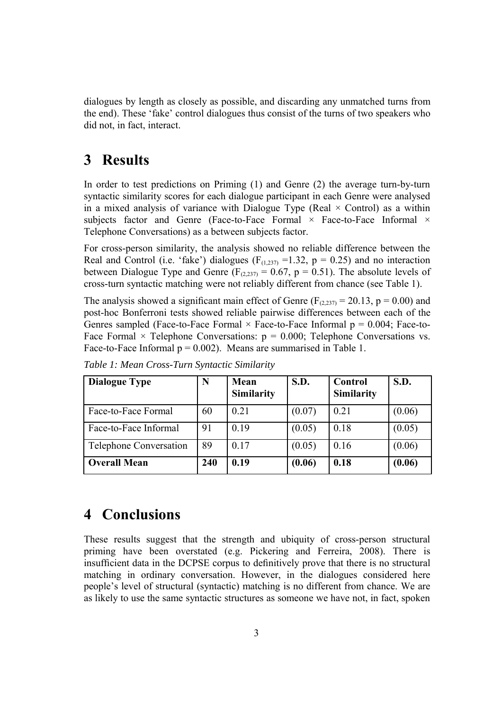dialogues by length as closely as possible, and discarding any unmatched turns from the end). These 'fake' control dialogues thus consist of the turns of two speakers who did not, in fact, interact.

### **3 Results**

In order to test predictions on Priming (1) and Genre (2) the average turn-by-turn syntactic similarity scores for each dialogue participant in each Genre were analysed in a mixed analysis of variance with Dialogue Type (Real  $\times$  Control) as a within subjects factor and Genre (Face-to-Face Formal  $\times$  Face-to-Face Informal  $\times$ Telephone Conversations) as a between subjects factor.

For cross-person similarity, the analysis showed no reliable difference between the Real and Control (i.e. 'fake') dialogues ( $F_{(1,237)} = 1.32$ ,  $p = 0.25$ ) and no interaction between Dialogue Type and Genre ( $F_{(2,237)} = 0.67$ , p = 0.51). The absolute levels of cross-turn syntactic matching were not reliably different from chance (see Table 1).

The analysis showed a significant main effect of Genre ( $F_{(2,237)} = 20.13$ ,  $p = 0.00$ ) and post-hoc Bonferroni tests showed reliable pairwise differences between each of the Genres sampled (Face-to-Face Formal  $\times$  Face-to-Face Informal  $p = 0.004$ ; Face-to-Face Formal  $\times$  Telephone Conversations:  $p = 0.000$ ; Telephone Conversations vs. Face-to-Face Informal  $p = 0.002$ ). Means are summarised in Table 1.

| <b>Dialogue Type</b>          | N   | Mean<br><b>Similarity</b> | S.D.   | Control<br><b>Similarity</b> | S.D.   |
|-------------------------------|-----|---------------------------|--------|------------------------------|--------|
| Face-to-Face Formal           | 60  | 0.21                      | (0.07) | 0.21                         | (0.06) |
| Face-to-Face Informal         | 91  | 0.19                      | (0.05) | 0.18                         | (0.05) |
| <b>Telephone Conversation</b> | 89  | 0.17                      | (0.05) | 0.16                         | (0.06) |
| <b>Overall Mean</b>           | 240 | 0.19                      | (0.06) | 0.18                         | (0.06) |

*Table 1: Mean Cross-Turn Syntactic Similarity*

# **4 Conclusions**

These results suggest that the strength and ubiquity of cross-person structural priming have been overstated (e.g. Pickering and Ferreira, 2008). There is insufficient data in the DCPSE corpus to definitively prove that there is no structural matching in ordinary conversation. However, in the dialogues considered here people's level of structural (syntactic) matching is no different from chance. We are as likely to use the same syntactic structures as someone we have not, in fact, spoken